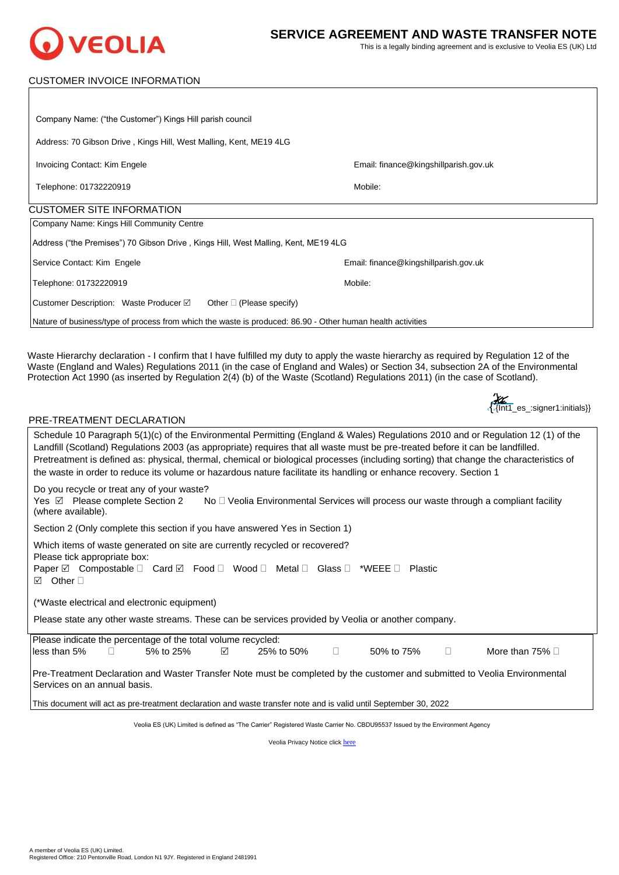

# **SERVICE AGREEMENT AND WASTE TRANSFER NOTE**

This is a legally binding agreement and is exclusive to Veolia ES (UK) Ltd

## CUSTOMER INVOICE INFORMATION

| Company Name: ("the Customer") Kings Hill parish council                                                   |                                       |  |  |  |
|------------------------------------------------------------------------------------------------------------|---------------------------------------|--|--|--|
| Address: 70 Gibson Drive, Kings Hill, West Malling, Kent, ME19 4LG                                         |                                       |  |  |  |
| Invoicing Contact: Kim Engele                                                                              | Email: finance@kingshillparish.gov.uk |  |  |  |
| Telephone: 01732220919                                                                                     | Mobile:                               |  |  |  |
| <b>CUSTOMER SITE INFORMATION</b>                                                                           |                                       |  |  |  |
| Company Name: Kings Hill Community Centre                                                                  |                                       |  |  |  |
| Address ("the Premises") 70 Gibson Drive , Kings Hill, West Malling, Kent, ME19 4LG                        |                                       |  |  |  |
| Service Contact: Kim Engele                                                                                | Email: finance@kingshillparish.gov.uk |  |  |  |
| Telephone: 01732220919                                                                                     | Mobile:                               |  |  |  |
| Customer Description: Waste Producer ⊠<br>Other $\Box$ (Please specify)                                    |                                       |  |  |  |
| Nature of business/type of process from which the waste is produced: 86.90 - Other human health activities |                                       |  |  |  |

Waste Hierarchy declaration - I confirm that I have fulfilled my duty to apply the waste hierarchy as required by Regulation 12 of the Waste (England and Wales) Regulations 2011 (in the case of England and Wales) or Section 34, subsection 2A of the Environmental Protection Act 1990 (as inserted by Regulation 2(4) (b) of the Waste (Scotland) Regulations 2011) (in the case of Scotland).

| AZ<br>{ nt1_es_:signer1:initials}} |
|------------------------------------|
|                                    |

## PRE-TREATMENT DECLARATION

| Schedule 10 Paragraph 5(1)(c) of the Environmental Permitting (England & Wales) Regulations 2010 and or Regulation 12 (1) of the<br>Landfill (Scotland) Regulations 2003 (as appropriate) requires that all waste must be pre-treated before it can be landfilled.<br>Pretreatment is defined as: physical, thermal, chemical or biological processes (including sorting) that change the characteristics of<br>the waste in order to reduce its volume or hazardous nature facilitate its handling or enhance recovery. Section 1 |  |  |  |  |
|------------------------------------------------------------------------------------------------------------------------------------------------------------------------------------------------------------------------------------------------------------------------------------------------------------------------------------------------------------------------------------------------------------------------------------------------------------------------------------------------------------------------------------|--|--|--|--|
| Do you recycle or treat any of your waste?<br>Yes ☑ Please complete Section 2<br>No □ Veolia Environmental Services will process our waste through a compliant facility<br>(where available).                                                                                                                                                                                                                                                                                                                                      |  |  |  |  |
| Section 2 (Only complete this section if you have answered Yes in Section 1)                                                                                                                                                                                                                                                                                                                                                                                                                                                       |  |  |  |  |
| Which items of waste generated on site are currently recycled or recovered?<br>Please tick appropriate box:<br>Paper ⊠ Compostable □ Card ⊠ Food □ Wood □ Metal □ Glass □ *WEEE □<br>Plastic<br>$\boxtimes$ Other $\square$                                                                                                                                                                                                                                                                                                        |  |  |  |  |
| (*Waste electrical and electronic equipment)                                                                                                                                                                                                                                                                                                                                                                                                                                                                                       |  |  |  |  |
| Please state any other waste streams. These can be services provided by Veolia or another company.                                                                                                                                                                                                                                                                                                                                                                                                                                 |  |  |  |  |
| Please indicate the percentage of the total volume recycled:<br>less than 5%<br>$\Box$<br>More than 75% $\Box$<br>5% to 25%<br>☑<br>25% to 50%<br>П.<br>50% to 75%<br>$\perp$                                                                                                                                                                                                                                                                                                                                                      |  |  |  |  |
| Pre-Treatment Declaration and Waster Transfer Note must be completed by the customer and submitted to Veolia Environmental<br>Services on an annual basis.                                                                                                                                                                                                                                                                                                                                                                         |  |  |  |  |
| This document will act as pre-treatment declaration and waste transfer note and is valid until September 30, 2022                                                                                                                                                                                                                                                                                                                                                                                                                  |  |  |  |  |

Veolia ES (UK) Limited is defined as "The Carrier" Registered Waste Carrier No. CBDU95537 Issued by the Environment Agency

Veolia Privacy Notice click [here](https://s3-eu-west-1.amazonaws.com/veolia1/Privacy+Notice.pdf)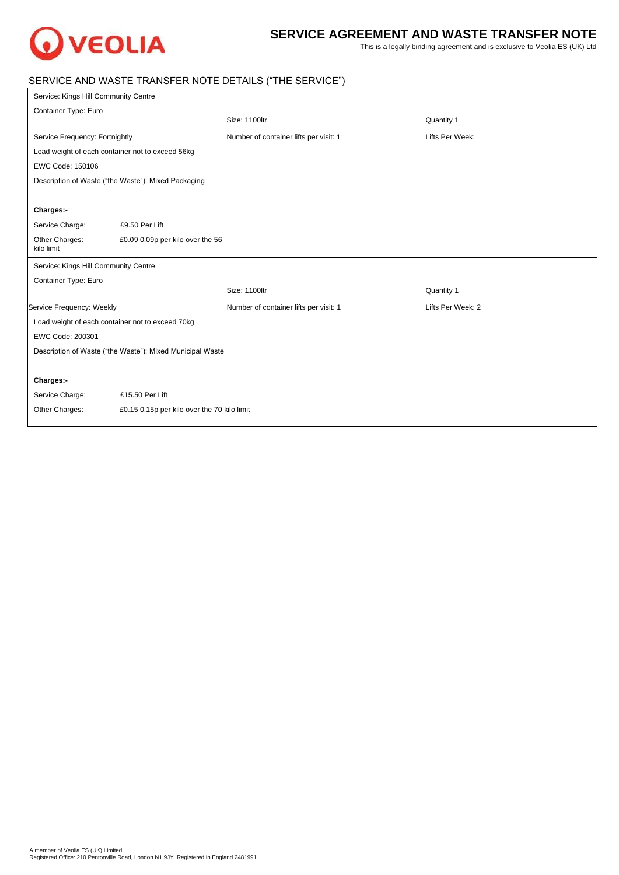

Ξ

# **SERVICE AGREEMENT AND WASTE TRANSFER NOTE**

This is a legally binding agreement and is exclusive to Veolia ES (UK) Ltd

## SERVICE AND WASTE TRANSFER NOTE DETAILS ("THE SERVICE")

| Service: Kings Hill Community Centre                |                                                           |                                        |                   |  |  |
|-----------------------------------------------------|-----------------------------------------------------------|----------------------------------------|-------------------|--|--|
| Container Type: Euro                                |                                                           |                                        |                   |  |  |
|                                                     |                                                           | Size: 1100ltr                          | Quantity 1        |  |  |
| Service Frequency: Fortnightly                      |                                                           | Number of container lifts per visit: 1 | Lifts Per Week:   |  |  |
|                                                     | Load weight of each container not to exceed 56kg          |                                        |                   |  |  |
| EWC Code: 150106                                    |                                                           |                                        |                   |  |  |
| Description of Waste ("the Waste"): Mixed Packaging |                                                           |                                        |                   |  |  |
|                                                     |                                                           |                                        |                   |  |  |
| Charges:-                                           |                                                           |                                        |                   |  |  |
| Service Charge:                                     | £9.50 Per Lift                                            |                                        |                   |  |  |
| Other Charges:<br>kilo limit                        | £0.09 0.09p per kilo over the 56                          |                                        |                   |  |  |
|                                                     |                                                           |                                        |                   |  |  |
| Service: Kings Hill Community Centre                |                                                           |                                        |                   |  |  |
| Container Type: Euro                                |                                                           |                                        |                   |  |  |
|                                                     |                                                           | Size: 1100ltr                          | Quantity 1        |  |  |
| Service Frequency: Weekly                           |                                                           | Number of container lifts per visit: 1 | Lifts Per Week: 2 |  |  |
| Load weight of each container not to exceed 70kg    |                                                           |                                        |                   |  |  |
| EWC Code: 200301                                    |                                                           |                                        |                   |  |  |
|                                                     | Description of Waste ("the Waste"): Mixed Municipal Waste |                                        |                   |  |  |
|                                                     |                                                           |                                        |                   |  |  |
| Charges:-                                           |                                                           |                                        |                   |  |  |
| Service Charge:                                     | £15.50 Per Lift                                           |                                        |                   |  |  |
| Other Charges:                                      | £0.15 0.15p per kilo over the 70 kilo limit               |                                        |                   |  |  |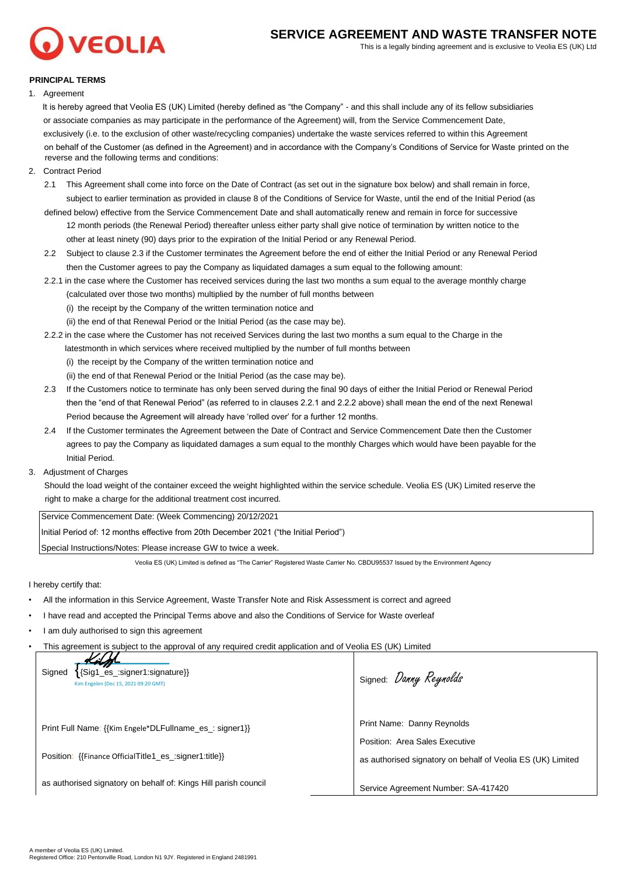

# **SERVICE AGREEMENT AND WASTE TRANSFER NOTE**

This is a legally binding agreement and is exclusive to Veolia ES (UK) Ltd

### **PRINCIPAL TERMS**

1. Agreement

 It is hereby agreed that Veolia ES (UK) Limited (hereby defined as "the Company" - and this shall include any of its fellow subsidiaries or associate companies as may participate in the performance of the Agreement) will, from the Service Commencement Date, exclusively (i.e. to the exclusion of other waste/recycling companies) undertake the waste services referred to within this Agreement on behalf of the Customer (as defined in the Agreement) and in accordance with the Company's Conditions of Service for Waste printed on the reverse and the following terms and conditions:

- 2. Contract Period
	- 2.1 This Agreement shall come into force on the Date of Contract (as set out in the signature box below) and shall remain in force, subject to earlier termination as provided in clause 8 of the Conditions of Service for Waste, until the end of the Initial Period (as
	- defined below) effective from the Service Commencement Date and shall automatically renew and remain in force for successive 12 month periods (the Renewal Period) thereafter unless either party shall give notice of termination by written notice to the other at least ninety (90) days prior to the expiration of the Initial Period or any Renewal Period.
	- 2.2 Subject to clause 2.3 if the Customer terminates the Agreement before the end of either the Initial Period or any Renewal Period then the Customer agrees to pay the Company as liquidated damages a sum equal to the following amount:
	- 2.2.1 in the case where the Customer has received services during the last two months a sum equal to the average monthly charge (calculated over those two months) multiplied by the number of full months between
		- (i) the receipt by the Company of the written termination notice and
		- (ii) the end of that Renewal Period or the Initial Period (as the case may be).
	- 2.2.2 in the case where the Customer has not received Services during the last two months a sum equal to the Charge in the latestmonth in which services where received multiplied by the number of full months between
		- (i) the receipt by the Company of the written termination notice and
		- (ii) the end of that Renewal Period or the Initial Period (as the case may be).
	- 2.3 If the Customers notice to terminate has only been served during the final 90 days of either the Initial Period or Renewal Period then the "end of that Renewal Period" (as referred to in clauses 2.2.1 and 2.2.2 above) shall mean the end of the next Renewal Period because the Agreement will already have 'rolled over' for a further 12 months.
	- 2.4 If the Customer terminates the Agreement between the Date of Contract and Service Commencement Date then the Customer agrees to pay the Company as liquidated damages a sum equal to the monthly Charges which would have been payable for the Initial Period.
- 3. Adjustment of Charges

Should the load weight of the container exceed the weight highlighted within the service schedule. Veolia ES (UK) Limited reserve the right to make a charge for the additional treatment cost incurred.

Service Commencement Date: (Week Commencing) 20/12/2021

Initial Period of: 12 months effective from 20th December 2021 ("the Initial Period")

Special Instructions/Notes: Please increase GW to twice a week.

Veolia ES (UK) Limited is defined as "The Carrier" Registered Waste Carrier No. CBDU95537 Issued by the Environment Agency

I hereby certify that:

- All the information in this Service Agreement, Waste Transfer Note and Risk Assessment is correct and agreed
- I have read and accepted the Principal Terms above and also the Conditions of Service for Waste overleaf
- I am duly authorised to sign this agreement
- This agreement is subject to the approval of any required credit application and of Veolia ES (UK) Limited

| {{Sig1_es_:signer1:signature}}<br>Signed<br>Kim Engelen (Dec 15, 2021 09:20 GMT) | Signed: <i>Vanny Reynolds</i>                                |
|----------------------------------------------------------------------------------|--------------------------------------------------------------|
| Print Full Name: {{Kim Engele*DLFullname_es_: signer1}}                          | Print Name: Danny Reynolds<br>Position: Area Sales Executive |
| Position: {{Finance OfficialTitle1_es_:signer1:title}}                           | as authorised signatory on behalf of Veolia ES (UK) Limited  |
| as authorised signatory on behalf of: Kings Hill parish council                  | Service Agreement Number: SA-417420                          |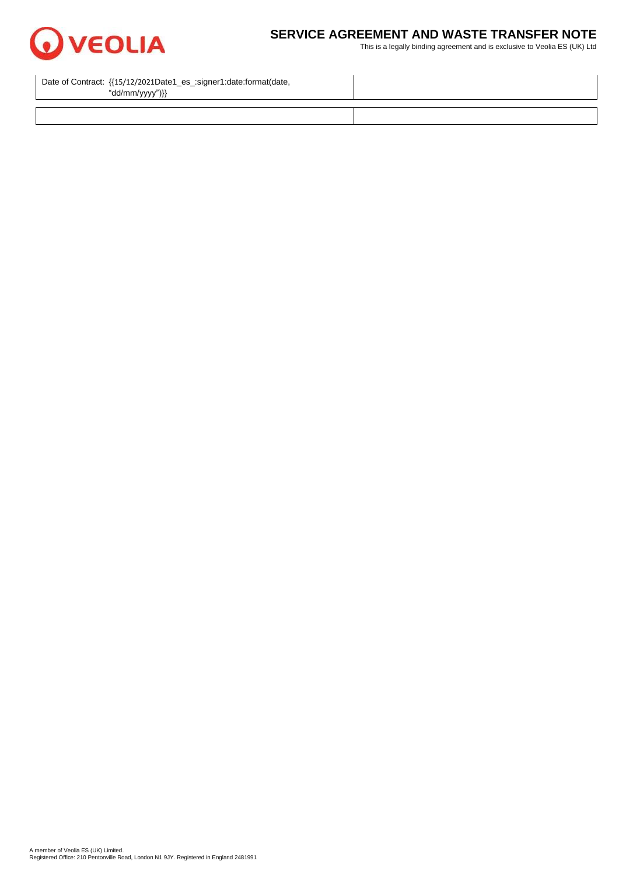

# **SERVICE AGREEMENT AND WASTE TRANSFER NOTE**

This is a legally binding agreement and is exclusive to Veolia ES (UK) Ltd

Date of Contract: {{15/12/2021Date1\_es\_:signer1:date:format(date,

"dd/mm/yyyy")}}